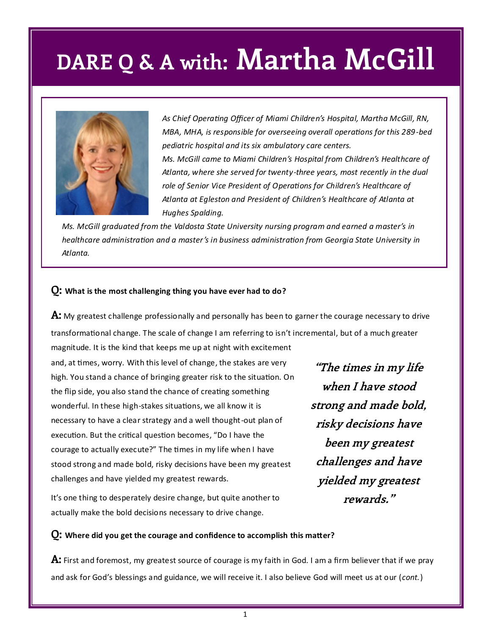

*As Chief Operating Officer of Miami Children's Hospital, Martha McGill, RN, MBA, MHA, is responsible for overseeing overall operations for this 289-bed pediatric hospital and its six ambulatory care centers. Ms. McGill came to Miami Children's Hospital from Children's Healthcare of Atlanta, where she served for twenty-three years, most recently in the dual role of Senior Vice President of Operations for Children's Healthcare of Atlanta at Egleston and President of Children's Healthcare of Atlanta at Hughes Spalding.*

*Ms. McGill graduated from the Valdosta State University nursing program and earned a master's in healthcare administration and a master's in business administration from Georgia State University in Atlanta.*

#### **Q: What is the most challenging thing you have ever had to do?**

**A:** My greatest challenge professionally and personally has been to garner the courage necessary to drive transformational change. The scale of change I am referring to isn't incremental, but of a much greater

magnitude. It is the kind that keeps me up at night with excitement and, at times, worry. With this level of change, the stakes are very high. You stand a chance of bringing greater risk to the situation. On the flip side, you also stand the chance of creating something wonderful. In these high-stakes situations, we all know it is necessary to have a clear strategy and a well thought-out plan of execution. But the critical question becomes, "Do I have the courage to actually execute?" The times in my life when I have stood strong and made bold, risky decisions have been my greatest challenges and have yielded my greatest rewards.

It's one thing to desperately desire change, but quite another to actually make the bold decisions necessary to drive change.

**"The times in my life when I have stood strong and made bold, risky decisions have been my greatest challenges and have yielded my greatest rewards."**

#### **Q: Where did you get the courage and confidence to accomplish this matter?**

**A:** First and foremost, my greatest source of courage is my faith in God. I am a firm believer that if we pray and ask for God's blessings and guidance, we will receive it. I also believe God will meet us at our (*cont.*)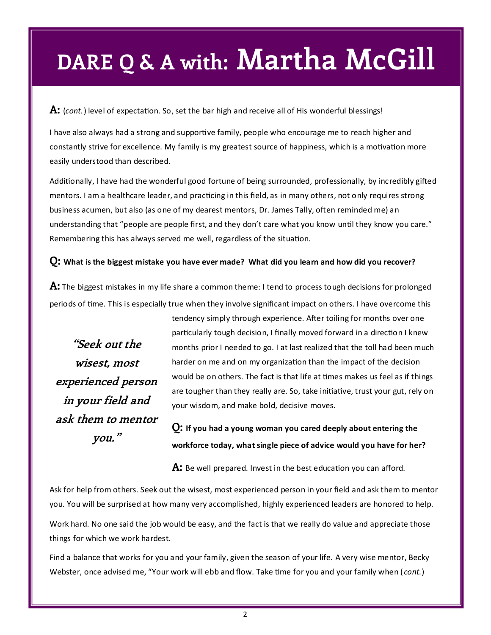**A:** (*cont.*) level of expectation. So, set the bar high and receive all of His wonderful blessings!

I have also always had a strong and supportive family, people who encourage me to reach higher and constantly strive for excellence. My family is my greatest source of happiness, which is a motivation more easily understood than described.

Additionally, I have had the wonderful good fortune of being surrounded, professionally, by incredibly gifted mentors. I am a healthcare leader, and practicing in this field, as in many others, not only requires strong business acumen, but also (as one of my dearest mentors, Dr. James Tally, often reminded me) an understanding that "people are people first, and they don't care what you know until they know you care." Remembering this has always served me well, regardless of the situation.

#### **Q: What is the biggest mistake you have ever made? What did you learn and how did you recover?**

**A:** The biggest mistakes in my life share a common theme: I tend to process tough decisions for prolonged periods of time. This is especially true when they involve significant impact on others. I have overcome this

**"Seek out the wisest, most experienced person in your field and ask them to mentor you."**

tendency simply through experience. After toiling for months over one particularly tough decision, I finally moved forward in a direction I knew months prior I needed to go. I at last realized that the toll had been much harder on me and on my organization than the impact of the decision would be on others. The fact is that life at times makes us feel as if things are tougher than they really are. So, take initiative, trust your gut, rely on your wisdom, and make bold, decisive moves.

**Q: If you had a young woman you cared deeply about entering the workforce today, what single piece of advice would you have for her?**

**A:** Be well prepared. Invest in the best education you can afford.

Ask for help from others. Seek out the wisest, most experienced person in your field and ask them to mentor you. You will be surprised at how many very accomplished, highly experienced leaders are honored to help.

Work hard. No one said the job would be easy, and the fact is that we really do value and appreciate those things for which we work hardest.

Find a balance that works for you and your family, given the season of your life. A very wise mentor, Becky Webster, once advised me, "Your work will ebb and flow. Take time for you and your family when ( *cont.*)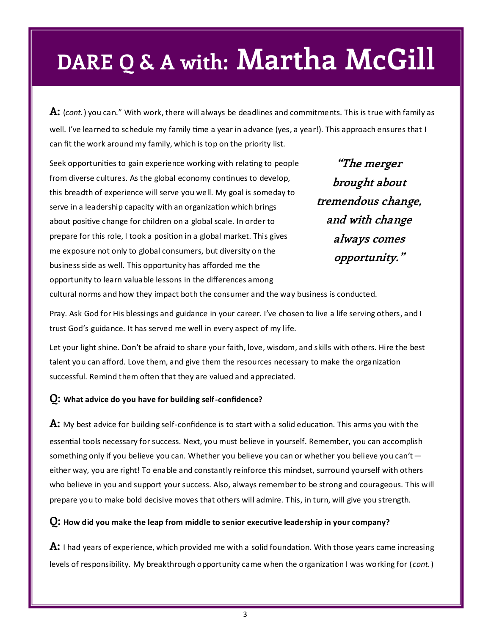**A:** (*cont.*) you can." With work, there will always be deadlines and commitments. This is true with family as well. I've learned to schedule my family time a year in advance (yes, a year!). This approach ensures that I can fit the work around my family, which is top on the priority list.

Seek opportunities to gain experience working with relating to people from diverse cultures. As the global economy continues to develop, this breadth of experience will serve you well. My goal is someday to serve in a leadership capacity with an organization which brings about positive change for children on a global scale. In order to prepare for this role, I took a position in a global market. This gives me exposure not only to global consumers, but diversity on the business side as well. This opportunity has afforded me the opportunity to learn valuable lessons in the differences among

**"The merger brought about tremendous change, and with change always comes opportunity."**

cultural norms and how they impact both the consumer and the way business is conducted.

Pray. Ask God for His blessings and guidance in your career. I've chosen to live a life serving others, and I trust God's guidance. It has served me well in every aspect of my life.

Let your light shine. Don't be afraid to share your faith, love, wisdom, and skills with others. Hire the best talent you can afford. Love them, and give them the resources necessary to make the organization successful. Remind them often that they are valued and appreciated.

#### **Q: What advice do you have for building self-confidence?**

**A:** My best advice for building self-confidence is to start with a solid education. This arms you with the essential tools necessary for success. Next, you must believe in yourself. Remember, you can accomplish something only if you believe you can. Whether you believe you can or whether you believe you can't either way, you are right! To enable and constantly reinforce this mindset, surround yourself with others who believe in you and support your success. Also, always remember to be strong and courageous. This will prepare you to make bold decisive moves that others will admire. This, in turn, will give you strength.

**Q: How did you make the leap from middle to senior executive leadership in your company?** 

**A:** I had years of experience, which provided me with a solid foundation. With those years came increasing levels of responsibility. My breakthrough opportunity came when the organization I was working for (*cont.*)